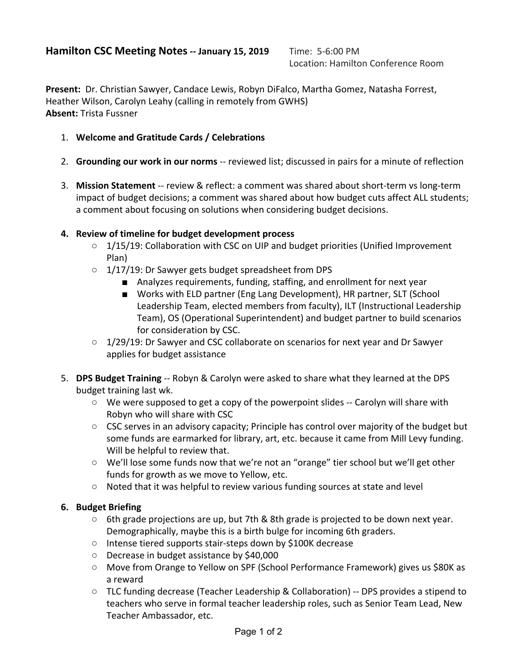Location: Hamilton Conference Room

**Present:** Dr. Christian Sawyer, Candace Lewis, Robyn DiFalco, Martha Gomez, Natasha Forrest, Heather Wilson, Carolyn Leahy (calling in remotely from GWHS) **Absent:** Trista Fussner

- 1. **Welcome and Gratitude Cards / Celebrations**
- 2. **Grounding our work in our norms** -- reviewed list; discussed in pairs for a minute of reflection
- 3. **Mission Statement** -- review & reflect: a comment was shared about short-term vs long-term impact of budget decisions; a comment was shared about how budget cuts affect ALL students; a comment about focusing on solutions when considering budget decisions.

## **4. Review of timeline for budget development process**

- 1/15/19: Collaboration with CSC on UIP and budget priorities (Unified Improvement Plan)
- 1/17/19: Dr Sawyer gets budget spreadsheet from DPS
	- Analyzes requirements, funding, staffing, and enrollment for next year
	- Works with ELD partner (Eng Lang Development), HR partner, SLT (School Leadership Team, elected members from faculty), ILT (Instructional Leadership Team), OS (Operational Superintendent) and budget partner to build scenarios for consideration by CSC.
- 1/29/19: Dr Sawyer and CSC collaborate on scenarios for next year and Dr Sawyer applies for budget assistance
- 5. **DPS Budget Training** -- Robyn & Carolyn were asked to share what they learned at the DPS budget training last wk.
	- We were supposed to get a copy of the powerpoint slides -- Carolyn will share with Robyn who will share with CSC
	- $\circ$  CSC serves in an advisory capacity; Principle has control over majority of the budget but some funds are earmarked for library, art, etc. because it came from Mill Levy funding. Will be helpful to review that.
	- We'll lose some funds now that we're not an "orange" tier school but we'll get other funds for growth as we move to Yellow, etc.
	- Noted that it was helpful to review various funding sources at state and level

## **6. Budget Briefing**

- $\circ$  6th grade projections are up, but 7th & 8th grade is projected to be down next year. Demographically, maybe this is a birth bulge for incoming 6th graders.
- Intense tiered supports stair-steps down by \$100K decrease
- Decrease in budget assistance by \$40,000
- Move from Orange to Yellow on SPF (School Performance Framework) gives us \$80K as a reward
- $\circ$  TLC funding decrease (Teacher Leadership & Collaboration) -- DPS provides a stipend to teachers who serve in formal teacher leadership roles, such as Senior Team Lead, New Teacher Ambassador, etc.